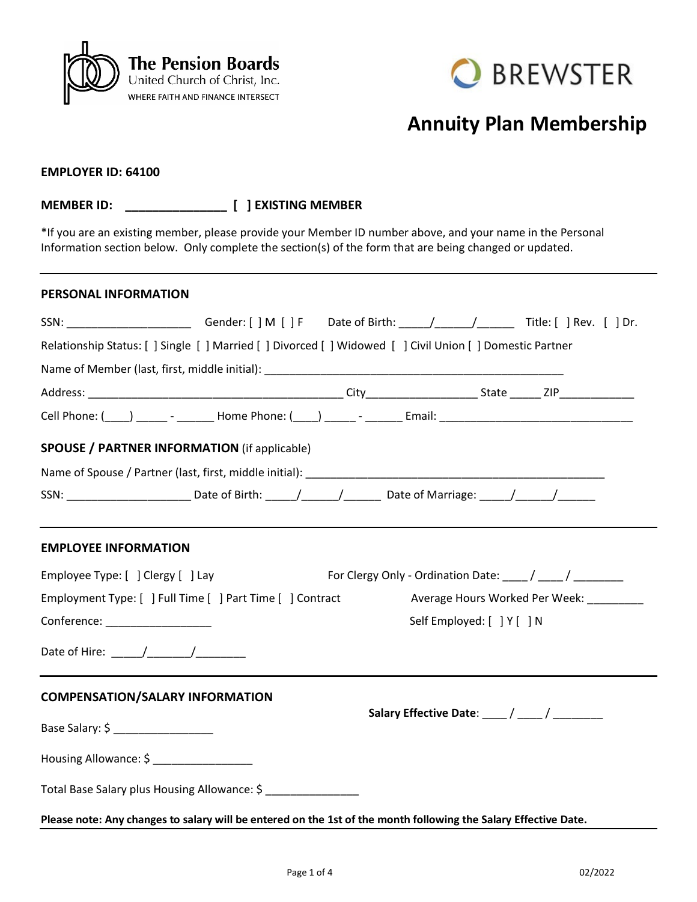



## **Annuity Plan Membership**

## **EMPLOYER ID: 64100**

**MEMBER ID: \_\_\_\_\_\_\_\_\_\_\_\_\_\_\_ [ ] EXISTING MEMBER**

\*If you are an existing member, please provide your Member ID number above, and your name in the Personal Information section below. Only complete the section(s) of the form that are being changed or updated.

#### **PERSONAL INFORMATION**

| SSN: __________________________Gender: [ ] M [ ] F Date of Birth: _____/______/_______Title: [ ] Rev. [ ] Dr.                                                                                                                                                                                                                                                                                                      |  |                                              |                            |                                |
|--------------------------------------------------------------------------------------------------------------------------------------------------------------------------------------------------------------------------------------------------------------------------------------------------------------------------------------------------------------------------------------------------------------------|--|----------------------------------------------|----------------------------|--------------------------------|
| Relationship Status: [ ] Single [ ] Married [ ] Divorced [ ] Widowed [ ] Civil Union [ ] Domestic Partner                                                                                                                                                                                                                                                                                                          |  |                                              |                            |                                |
|                                                                                                                                                                                                                                                                                                                                                                                                                    |  |                                              |                            |                                |
|                                                                                                                                                                                                                                                                                                                                                                                                                    |  |                                              |                            |                                |
|                                                                                                                                                                                                                                                                                                                                                                                                                    |  |                                              |                            |                                |
| <b>SPOUSE / PARTNER INFORMATION (if applicable)</b>                                                                                                                                                                                                                                                                                                                                                                |  |                                              |                            |                                |
|                                                                                                                                                                                                                                                                                                                                                                                                                    |  |                                              |                            |                                |
| SSN: ______________________________Date of Birth: ______/________/___________Date of Marriage: ______/_______/                                                                                                                                                                                                                                                                                                     |  |                                              |                            |                                |
| <b>EMPLOYEE INFORMATION</b>                                                                                                                                                                                                                                                                                                                                                                                        |  |                                              |                            |                                |
| Employee Type: [ ] Clergy [ ] Lay                                                                                                                                                                                                                                                                                                                                                                                  |  |                                              |                            |                                |
| Employment Type: [ ] Full Time [ ] Part Time [ ] Contract                                                                                                                                                                                                                                                                                                                                                          |  |                                              |                            | Average Hours Worked Per Week: |
| Conference: <u>Conference</u>                                                                                                                                                                                                                                                                                                                                                                                      |  |                                              | Self Employed: [ ] Y [ ] N |                                |
| Date of Hire: $\frac{1}{\sqrt{1-\frac{1}{2}}}\frac{1}{\sqrt{1-\frac{1}{2}}}\frac{1}{\sqrt{1-\frac{1}{2}}}\frac{1}{\sqrt{1-\frac{1}{2}}}\frac{1}{\sqrt{1-\frac{1}{2}}}\frac{1}{\sqrt{1-\frac{1}{2}}}\frac{1}{\sqrt{1-\frac{1}{2}}}\frac{1}{\sqrt{1-\frac{1}{2}}}\frac{1}{\sqrt{1-\frac{1}{2}}}\frac{1}{\sqrt{1-\frac{1}{2}}}\frac{1}{\sqrt{1-\frac{1}{2}}}\frac{1}{\sqrt{1-\frac{1}{2}}}\frac{1}{\sqrt{1-\frac{1}{$ |  |                                              |                            |                                |
| <b>COMPENSATION/SALARY INFORMATION</b>                                                                                                                                                                                                                                                                                                                                                                             |  |                                              |                            |                                |
| Base Salary: \$ ___________________                                                                                                                                                                                                                                                                                                                                                                                |  | Salary Effective Date: ____ / ____ / _______ |                            |                                |
| Housing Allowance: \$ _______________                                                                                                                                                                                                                                                                                                                                                                              |  |                                              |                            |                                |
| Total Base Salary plus Housing Allowance: \$ _______________                                                                                                                                                                                                                                                                                                                                                       |  |                                              |                            |                                |
| Please note: Any changes to salary will be entered on the 1st of the month following the Salary Effective Date.                                                                                                                                                                                                                                                                                                    |  |                                              |                            |                                |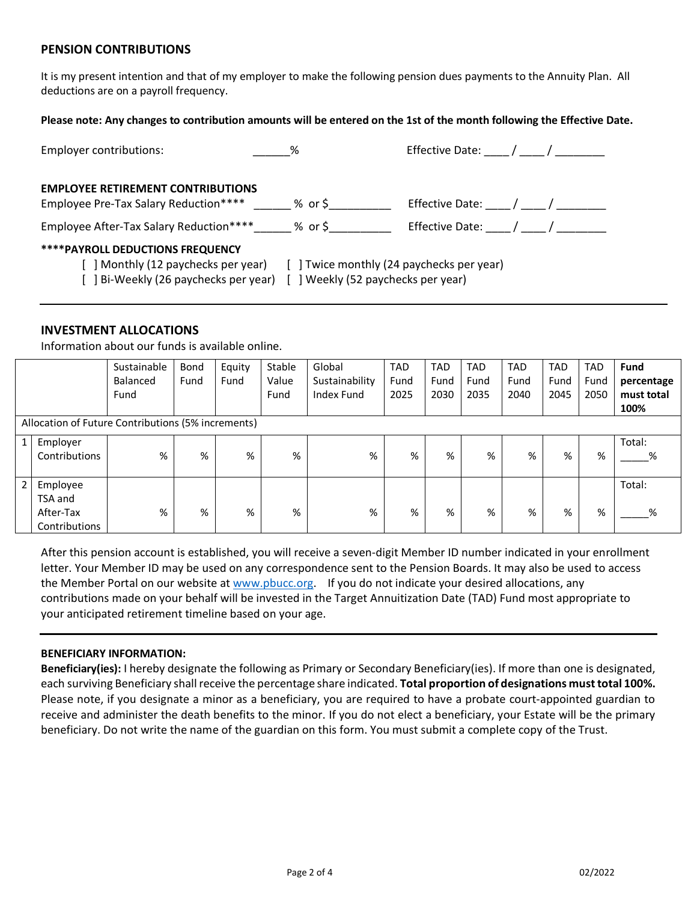## **PENSION CONTRIBUTIONS**

It is my present intention and that of my employer to make the following pension dues payments to the Annuity Plan. All deductions are on a payroll frequency.

#### **Please note: Any changes to contribution amounts will be entered on the 1st of the month following the Effective Date.**

| <b>Employer contributions:</b>                                                                                      | $\%$                                                                            | Effective Date: / / |
|---------------------------------------------------------------------------------------------------------------------|---------------------------------------------------------------------------------|---------------------|
| <b>EMPLOYEE RETIREMENT CONTRIBUTIONS</b><br>Employee Pre-Tax Salary Reduction****                                   | % or \$                                                                         | Effective Date: / / |
| Employee After-Tax Salary Reduction****                                                                             | % or \$                                                                         | Effective Date: / / |
| <b>****PAYROLL DEDUCTIONS FREQUENCY</b><br>[ ] Monthly (12 paychecks per year)<br>Bi-Weekly (26 paychecks per year) | [ ] Twice monthly (24 paychecks per year)<br>[ ] Weekly (52 paychecks per year) |                     |

#### **INVESTMENT ALLOCATIONS**

Information about our funds is available online.

|               |                                                    | Sustainable | Bond | Equity | Stable | Global            | <b>TAD</b> | <b>TAD</b> | <b>TAD</b> | <b>TAD</b> | <b>TAD</b> | <b>TAD</b> | <b>Fund</b> |
|---------------|----------------------------------------------------|-------------|------|--------|--------|-------------------|------------|------------|------------|------------|------------|------------|-------------|
|               |                                                    | Balanced    | Fund | Fund   | Value  | Sustainability    | Fund       | Fund       | Fund       | Fund       | Fund       | Fund       | percentage  |
|               |                                                    | Fund        |      |        | Fund   | <b>Index Fund</b> | 2025       | 2030       | 2035       | 2040       | 2045       | 2050       | must total  |
|               |                                                    |             |      |        |        |                   |            |            |            |            |            |            | 100%        |
|               | Allocation of Future Contributions (5% increments) |             |      |        |        |                   |            |            |            |            |            |            |             |
| $\mathbf{1}$  | Employer                                           |             |      |        |        |                   |            |            |            |            |            |            | Total:      |
|               | Contributions                                      | %           | %    | %      | %      | %                 | %          | %          | %          | %          | %          | %          | %           |
|               |                                                    |             |      |        |        |                   |            |            |            |            |            |            |             |
| $\mathcal{P}$ | Employee                                           |             |      |        |        |                   |            |            |            |            |            |            | Total:      |
|               | TSA and                                            |             |      |        |        |                   |            |            |            |            |            |            |             |
|               | After-Tax                                          | %           | %    | %      | %      | %                 | %          | %          | %          | %          | %          | %          | ℅           |
|               | Contributions                                      |             |      |        |        |                   |            |            |            |            |            |            |             |

After this pension account is established, you will receive a seven-digit Member ID number indicated in your enrollment letter. Your Member ID may be used on any correspondence sent to the Pension Boards. It may also be used to access the Member Portal on our website at [www.pbucc.org.](http://www.pbucc.org/) If you do not indicate your desired allocations, any contributions made on your behalf will be invested in the Target Annuitization Date (TAD) Fund most appropriate to your anticipated retirement timeline based on your age.

#### **BENEFICIARY INFORMATION:**

**Beneficiary(ies):** I hereby designate the following as Primary or Secondary Beneficiary(ies). If more than one is designated, each surviving Beneficiary shall receive the percentage share indicated. **Total proportion of designations must total 100%.** Please note, if you designate a minor as a beneficiary, you are required to have a probate court-appointed guardian to receive and administer the death benefits to the minor. If you do not elect a beneficiary, your Estate will be the primary beneficiary. Do not write the name of the guardian on this form. You must submit a complete copy of the Trust.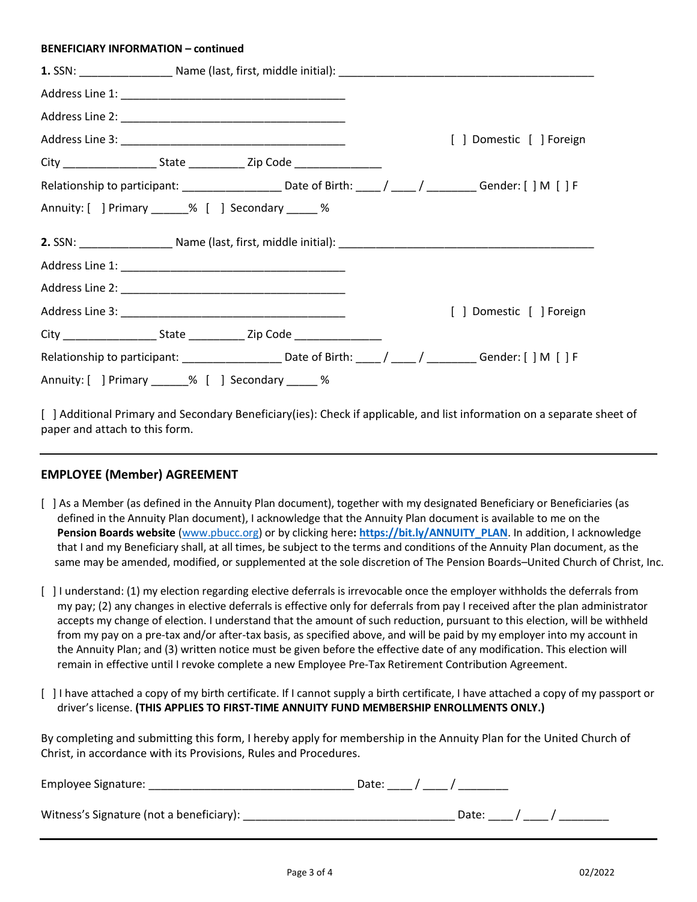#### **BENEFICIARY INFORMATION – continued**

|  |                                                                                  | [ ] Domestic [ ] Foreign                                                                                   |
|--|----------------------------------------------------------------------------------|------------------------------------------------------------------------------------------------------------|
|  |                                                                                  |                                                                                                            |
|  |                                                                                  | Relationship to participant: _____________________Date of Birth: ____/ ____/ _________Gender: [ ] M [ ] F  |
|  | Annuity: [ ] Primary _____% [ ] Secondary ____ %                                 |                                                                                                            |
|  |                                                                                  |                                                                                                            |
|  |                                                                                  |                                                                                                            |
|  |                                                                                  |                                                                                                            |
|  |                                                                                  | [ ] Domestic [ ] Foreign                                                                                   |
|  | City ________________________State ________________Zip Code ____________________ |                                                                                                            |
|  |                                                                                  | Relationship to participant: _____________________Date of Birth: ____/ ____/ __________Gender: [ ] M [ ] F |
|  | Annuity: [ ] Primary ______% [ ] Secondary _____ %                               |                                                                                                            |

[ ] Additional Primary and Secondary Beneficiary(ies): Check if applicable, and list information on a separate sheet of paper and attach to this form.

## **EMPLOYEE (Member) AGREEMENT**

- [ ] As a Member (as defined in the Annuity Plan document), together with my designated Beneficiary or Beneficiaries (as defined in the Annuity Plan document), I acknowledge that the Annuity Plan document is available to me on the **Pension Boards website** [\(www.pbucc.org\)](http://www.pbucc.org/) or by clicking here**: [https://bit.ly/ANNUITY\\_PLAN](https://bit.ly/ANNUITY_PLAN)**. In addition, I acknowledge that I and my Beneficiary shall, at all times, be subject to the terms and conditions of the Annuity Plan document, as the same may be amended, modified, or supplemented at the sole discretion of The Pension Boards–United Church of Christ, Inc.
- [ ] I understand: (1) my election regarding elective deferrals is irrevocable once the employer withholds the deferrals from my pay; (2) any changes in elective deferrals is effective only for deferrals from pay I received after the plan administrator accepts my change of election. I understand that the amount of such reduction, pursuant to this election, will be withheld from my pay on a pre-tax and/or after-tax basis, as specified above, and will be paid by my employer into my account in the Annuity Plan; and (3) written notice must be given before the effective date of any modification. This election will remain in effective until I revoke complete a new Employee Pre-Tax Retirement Contribution Agreement.
- [ ] I have attached a copy of my birth certificate. If I cannot supply a birth certificate, I have attached a copy of my passport or driver's license. **(THIS APPLIES TO FIRST-TIME ANNUITY FUND MEMBERSHIP ENROLLMENTS ONLY.)**

By completing and submitting this form, I hereby apply for membership in the Annuity Plan for the United Church of Christ, in accordance with its Provisions, Rules and Procedures.

| Employee Signature:                      | Date: / |       |  |
|------------------------------------------|---------|-------|--|
| Witness's Signature (not a beneficiary): |         | Date: |  |